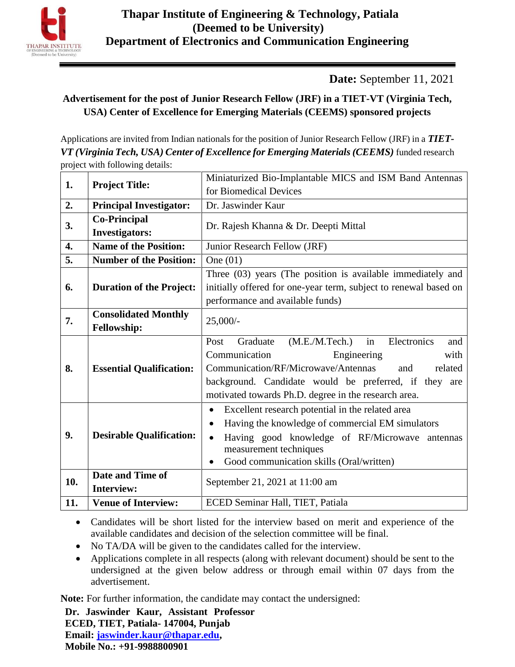

**Date:** September 11, 2021

## **Advertisement for the post of Junior Research Fellow (JRF) in a TIET-VT (Virginia Tech, USA) Center of Excellence for Emerging Materials (CEEMS) sponsored projects**

Applications are invited from Indian nationals for the position of Junior Research Fellow (JRF) in a *TIET-VT (Virginia Tech, USA) Center of Excellence for Emerging Materials (CEEMS)* funded research project with following details:

| 1.               |                                 | Miniaturized Bio-Implantable MICS and ISM Band Antennas          |  |  |  |  |  |  |  |
|------------------|---------------------------------|------------------------------------------------------------------|--|--|--|--|--|--|--|
|                  | <b>Project Title:</b>           | for Biomedical Devices                                           |  |  |  |  |  |  |  |
| 2.               | <b>Principal Investigator:</b>  | Dr. Jaswinder Kaur                                               |  |  |  |  |  |  |  |
| 3.               | <b>Co-Principal</b>             | Dr. Rajesh Khanna & Dr. Deepti Mittal                            |  |  |  |  |  |  |  |
|                  | <b>Investigators:</b>           |                                                                  |  |  |  |  |  |  |  |
| $\overline{4}$ . | <b>Name of the Position:</b>    | Junior Research Fellow (JRF)                                     |  |  |  |  |  |  |  |
| 5.               | <b>Number of the Position:</b>  | One $(01)$                                                       |  |  |  |  |  |  |  |
|                  |                                 | Three (03) years (The position is available immediately and      |  |  |  |  |  |  |  |
| 6.               | <b>Duration of the Project:</b> | initially offered for one-year term, subject to renewal based on |  |  |  |  |  |  |  |
|                  |                                 | performance and available funds)                                 |  |  |  |  |  |  |  |
| 7.               | <b>Consolidated Monthly</b>     | $25,000/$ -                                                      |  |  |  |  |  |  |  |
|                  | <b>Fellowship:</b>              |                                                                  |  |  |  |  |  |  |  |
|                  |                                 | (M.E.M.Tech.)<br>in<br>Graduate<br>Electronics<br>Post<br>and    |  |  |  |  |  |  |  |
|                  | <b>Essential Qualification:</b> | Communication<br>Engineering<br>with                             |  |  |  |  |  |  |  |
| 8.               |                                 | Communication/RF/Microwave/Antennas<br>related<br>and            |  |  |  |  |  |  |  |
|                  |                                 | background. Candidate would be preferred, if they are            |  |  |  |  |  |  |  |
|                  |                                 | motivated towards Ph.D. degree in the research area.             |  |  |  |  |  |  |  |
|                  | <b>Desirable Qualification:</b> | Excellent research potential in the related area<br>$\bullet$    |  |  |  |  |  |  |  |
| 9.               |                                 | Having the knowledge of commercial EM simulators<br>$\bullet$    |  |  |  |  |  |  |  |
|                  |                                 | Having good knowledge of RF/Microwave antennas<br>$\bullet$      |  |  |  |  |  |  |  |
|                  |                                 | measurement techniques                                           |  |  |  |  |  |  |  |
|                  |                                 | Good communication skills (Oral/written)                         |  |  |  |  |  |  |  |
| 10.              | Date and Time of                | September 21, 2021 at 11:00 am                                   |  |  |  |  |  |  |  |
|                  | <b>Interview:</b>               |                                                                  |  |  |  |  |  |  |  |
| 11.              | <b>Venue of Interview:</b>      | ECED Seminar Hall, TIET, Patiala                                 |  |  |  |  |  |  |  |

 Candidates will be short listed for the interview based on merit and experience of the available candidates and decision of the selection committee will be final.

- No TA/DA will be given to the candidates called for the interview.
- Applications complete in all respects (along with relevant document) should be sent to the undersigned at the given below address or through email within 07 days from the advertisement.

**Note:** For further information, the candidate may contact the undersigned:

**Dr. Jaswinder Kaur, Assistant Professor ECED, TIET, Patiala- 147004, Punjab Email: [jaswinder.kaur@thapar.edu,](mailto:jaswinder.kaur@thapar.edu) Mobile No.: +91-9988800901**